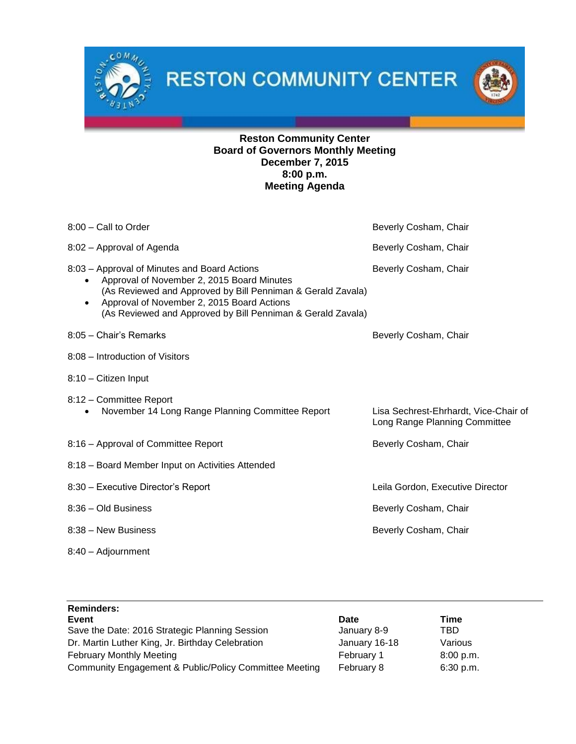$0<sub>k</sub>$ 



# **Reston Community Center Board of Governors Monthly Meeting December 7, 2015 8:00 p.m. Meeting Agenda**

| 8:00 - Call to Order                                                                                                                                                                                                                                                                             | Beverly Cosham, Chair                                                  |
|--------------------------------------------------------------------------------------------------------------------------------------------------------------------------------------------------------------------------------------------------------------------------------------------------|------------------------------------------------------------------------|
| 8:02 - Approval of Agenda                                                                                                                                                                                                                                                                        | Beverly Cosham, Chair                                                  |
| 8:03 - Approval of Minutes and Board Actions<br>Approval of November 2, 2015 Board Minutes<br>$\bullet$<br>(As Reviewed and Approved by Bill Penniman & Gerald Zavala)<br>Approval of November 2, 2015 Board Actions<br>$\bullet$<br>(As Reviewed and Approved by Bill Penniman & Gerald Zavala) | Beverly Cosham, Chair                                                  |
| 8:05 - Chair's Remarks                                                                                                                                                                                                                                                                           | Beverly Cosham, Chair                                                  |
| 8:08 - Introduction of Visitors                                                                                                                                                                                                                                                                  |                                                                        |
| 8:10 - Citizen Input                                                                                                                                                                                                                                                                             |                                                                        |
| 8:12 - Committee Report<br>November 14 Long Range Planning Committee Report                                                                                                                                                                                                                      | Lisa Sechrest-Ehrhardt, Vice-Chair of<br>Long Range Planning Committee |
| 8:16 - Approval of Committee Report                                                                                                                                                                                                                                                              | Beverly Cosham, Chair                                                  |
| 8:18 - Board Member Input on Activities Attended                                                                                                                                                                                                                                                 |                                                                        |
| 8:30 - Executive Director's Report                                                                                                                                                                                                                                                               | Leila Gordon, Executive Director                                       |
| 8:36 - Old Business                                                                                                                                                                                                                                                                              | Beverly Cosham, Chair                                                  |
| 8:38 - New Business                                                                                                                                                                                                                                                                              | Beverly Cosham, Chair                                                  |
| 8:40 - Adjournment                                                                                                                                                                                                                                                                               |                                                                        |

| <b>Reminders:</b>                                      |               |           |
|--------------------------------------------------------|---------------|-----------|
| Event                                                  | Date          | Time      |
| Save the Date: 2016 Strategic Planning Session         | January 8-9   | TBD       |
| Dr. Martin Luther King, Jr. Birthday Celebration       | January 16-18 | Various   |
| <b>February Monthly Meeting</b>                        | February 1    | 8:00 p.m. |
| Community Engagement & Public/Policy Committee Meeting | February 8    | 6:30 p.m. |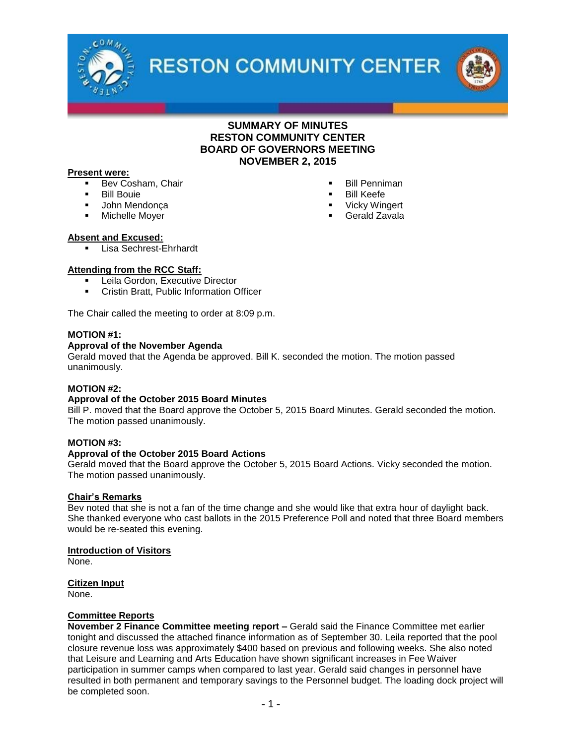



# **SUMMARY OF MINUTES RESTON COMMUNITY CENTER BOARD OF GOVERNORS MEETING NOVEMBER 2, 2015**

#### **Present were:**

- Bev Cosham, Chair
- Bill Bouie
- **John Mendonça**
- Michelle Moyer
- Bill Penniman
- Bill Keefe
- **Vicky Wingert**
- Gerald Zavala

#### **Absent and Excused:**

Lisa Sechrest-Ehrhardt

#### **Attending from the RCC Staff:**

- **EXECUTE:** Leila Gordon, Executive Director
- **Cristin Bratt, Public Information Officer**

The Chair called the meeting to order at 8:09 p.m.

#### **MOTION #1:**

#### **Approval of the November Agenda**

Gerald moved that the Agenda be approved. Bill K. seconded the motion. The motion passed unanimously.

#### **MOTION #2:**

#### **Approval of the October 2015 Board Minutes**

Bill P. moved that the Board approve the October 5, 2015 Board Minutes. Gerald seconded the motion. The motion passed unanimously.

#### **MOTION #3:**

#### **Approval of the October 2015 Board Actions**

Gerald moved that the Board approve the October 5, 2015 Board Actions. Vicky seconded the motion. The motion passed unanimously.

#### **Chair's Remarks**

Bev noted that she is not a fan of the time change and she would like that extra hour of daylight back. She thanked everyone who cast ballots in the 2015 Preference Poll and noted that three Board members would be re-seated this evening.

#### **Introduction of Visitors**

None.

#### **Citizen Input**

None.

#### **Committee Reports**

**November 2 Finance Committee meeting report –** Gerald said the Finance Committee met earlier tonight and discussed the attached finance information as of September 30. Leila reported that the pool closure revenue loss was approximately \$400 based on previous and following weeks. She also noted that Leisure and Learning and Arts Education have shown significant increases in Fee Waiver participation in summer camps when compared to last year. Gerald said changes in personnel have resulted in both permanent and temporary savings to the Personnel budget. The loading dock project will be completed soon.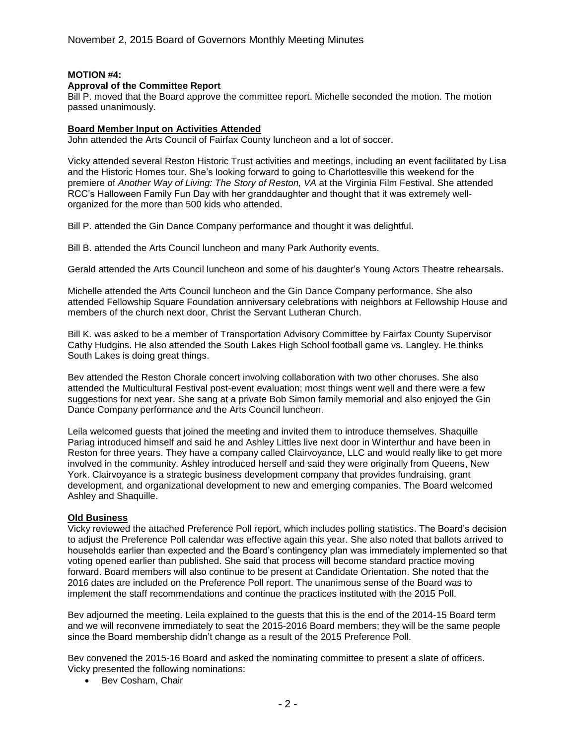# **MOTION #4:**

#### **Approval of the Committee Report**

Bill P. moved that the Board approve the committee report. Michelle seconded the motion. The motion passed unanimously.

#### **Board Member Input on Activities Attended**

John attended the Arts Council of Fairfax County luncheon and a lot of soccer.

Vicky attended several Reston Historic Trust activities and meetings, including an event facilitated by Lisa and the Historic Homes tour. She's looking forward to going to Charlottesville this weekend for the premiere of *Another Way of Living: The Story of Reston, VA* at the Virginia Film Festival. She attended RCC's Halloween Family Fun Day with her granddaughter and thought that it was extremely wellorganized for the more than 500 kids who attended.

Bill P. attended the Gin Dance Company performance and thought it was delightful.

Bill B. attended the Arts Council luncheon and many Park Authority events.

Gerald attended the Arts Council luncheon and some of his daughter's Young Actors Theatre rehearsals.

Michelle attended the Arts Council luncheon and the Gin Dance Company performance. She also attended Fellowship Square Foundation anniversary celebrations with neighbors at Fellowship House and members of the church next door, Christ the Servant Lutheran Church.

Bill K. was asked to be a member of Transportation Advisory Committee by Fairfax County Supervisor Cathy Hudgins. He also attended the South Lakes High School football game vs. Langley. He thinks South Lakes is doing great things.

Bev attended the Reston Chorale concert involving collaboration with two other choruses. She also attended the Multicultural Festival post-event evaluation; most things went well and there were a few suggestions for next year. She sang at a private Bob Simon family memorial and also enjoyed the Gin Dance Company performance and the Arts Council luncheon.

Leila welcomed guests that joined the meeting and invited them to introduce themselves. Shaquille Pariag introduced himself and said he and Ashley Littles live next door in Winterthur and have been in Reston for three years. They have a company called Clairvoyance, LLC and would really like to get more involved in the community. Ashley introduced herself and said they were originally from Queens, New York. Clairvoyance is a strategic business development company that provides fundraising, grant development, and organizational development to new and emerging companies. The Board welcomed Ashley and Shaquille.

#### **Old Business**

Vicky reviewed the attached Preference Poll report, which includes polling statistics. The Board's decision to adjust the Preference Poll calendar was effective again this year. She also noted that ballots arrived to households earlier than expected and the Board's contingency plan was immediately implemented so that voting opened earlier than published. She said that process will become standard practice moving forward. Board members will also continue to be present at Candidate Orientation. She noted that the 2016 dates are included on the Preference Poll report. The unanimous sense of the Board was to implement the staff recommendations and continue the practices instituted with the 2015 Poll.

Bev adjourned the meeting. Leila explained to the guests that this is the end of the 2014-15 Board term and we will reconvene immediately to seat the 2015-2016 Board members; they will be the same people since the Board membership didn't change as a result of the 2015 Preference Poll.

Bev convened the 2015-16 Board and asked the nominating committee to present a slate of officers. Vicky presented the following nominations:

• Bev Cosham, Chair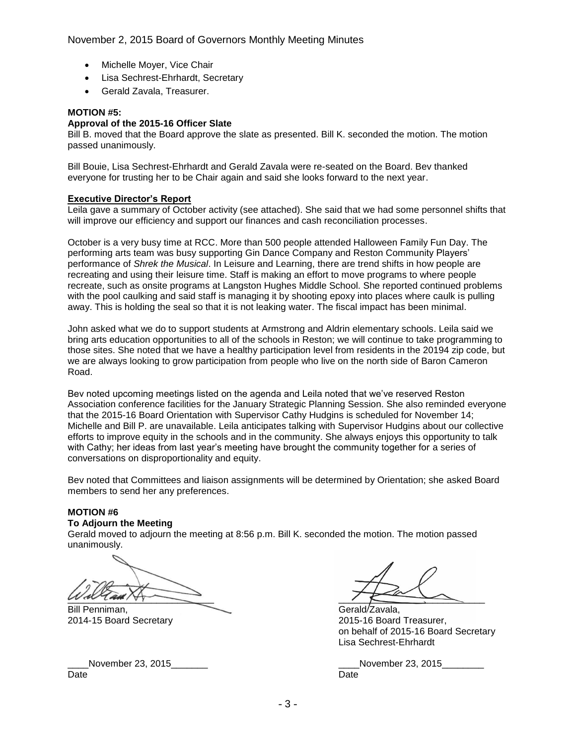November 2, 2015 Board of Governors Monthly Meeting Minutes

- Michelle Mover, Vice Chair
- Lisa Sechrest-Ehrhardt, Secretary
- Gerald Zavala, Treasurer.

#### **MOTION #5:**

# **Approval of the 2015-16 Officer Slate**

Bill B. moved that the Board approve the slate as presented. Bill K. seconded the motion. The motion passed unanimously.

Bill Bouie, Lisa Sechrest-Ehrhardt and Gerald Zavala were re-seated on the Board. Bev thanked everyone for trusting her to be Chair again and said she looks forward to the next year.

#### **Executive Director's Report**

Leila gave a summary of October activity (see attached). She said that we had some personnel shifts that will improve our efficiency and support our finances and cash reconciliation processes.

October is a very busy time at RCC. More than 500 people attended Halloween Family Fun Day. The performing arts team was busy supporting Gin Dance Company and Reston Community Players' performance of *Shrek the Musical*. In Leisure and Learning, there are trend shifts in how people are recreating and using their leisure time. Staff is making an effort to move programs to where people recreate, such as onsite programs at Langston Hughes Middle School. She reported continued problems with the pool caulking and said staff is managing it by shooting epoxy into places where caulk is pulling away. This is holding the seal so that it is not leaking water. The fiscal impact has been minimal.

John asked what we do to support students at Armstrong and Aldrin elementary schools. Leila said we bring arts education opportunities to all of the schools in Reston; we will continue to take programming to those sites. She noted that we have a healthy participation level from residents in the 20194 zip code, but we are always looking to grow participation from people who live on the north side of Baron Cameron Road.

Bev noted upcoming meetings listed on the agenda and Leila noted that we've reserved Reston Association conference facilities for the January Strategic Planning Session. She also reminded everyone that the 2015-16 Board Orientation with Supervisor Cathy Hudgins is scheduled for November 14; Michelle and Bill P. are unavailable. Leila anticipates talking with Supervisor Hudgins about our collective efforts to improve equity in the schools and in the community. She always enjoys this opportunity to talk with Cathy; her ideas from last year's meeting have brought the community together for a series of conversations on disproportionality and equity.

Bev noted that Committees and liaison assignments will be determined by Orientation; she asked Board members to send her any preferences.

# **MOTION #6**

# **To Adjourn the Meeting**

Gerald moved to adjourn the meeting at 8:56 p.m. Bill K. seconded the motion. The motion passed unanimously.

\_\_\_\_\_\_\_\_\_\_\_\_\_\_\_\_\_\_\_\_\_\_\_\_\_\_\_\_ \_\_\_\_\_\_\_\_\_\_\_\_\_\_\_\_\_\_\_\_\_\_\_\_\_\_\_\_

Bill Penniman, Gerald Zavala,

Date **Date Date Date Date Date Date Date Date Date** 

2014-15 Board Secretary 2015-16 Board Treasurer, on behalf of 2015-16 Board Secretary Lisa Sechrest-Ehrhardt

\_\_\_\_November 23, 2015\_\_\_\_\_\_\_ \_\_\_\_November 23, 2015\_\_\_\_\_\_\_\_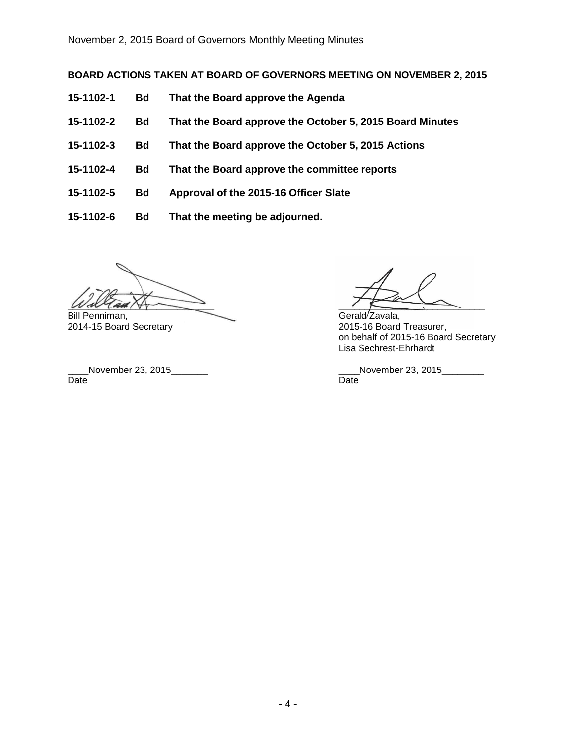# **BOARD ACTIONS TAKEN AT BOARD OF GOVERNORS MEETING ON NOVEMBER 2, 2015**

- **15-1102-1 Bd That the Board approve the Agenda**
- **15-1102-2 Bd That the Board approve the October 5, 2015 Board Minutes**
- **15-1102-3 Bd That the Board approve the October 5, 2015 Actions**
- **15-1102-4 Bd That the Board approve the committee reports**
- **15-1102-5 Bd Approval of the 2015-16 Officer Slate**
- **15-1102-6 Bd That the meeting be adjourned.**

 $W$  all  $\sqrt{2}$  and  $\sqrt{2}$  and  $\sqrt{2}$  and  $\sqrt{2}$  and  $\sqrt{2}$  and  $\sqrt{2}$  and  $\sqrt{2}$  and  $\sqrt{2}$  and  $\sqrt{2}$  and  $\sqrt{2}$  and  $\sqrt{2}$  and  $\sqrt{2}$  and  $\sqrt{2}$  and  $\sqrt{2}$  and  $\sqrt{2}$  and  $\sqrt{2}$  and  $\sqrt{2}$  and  $\sqrt{2}$  a

Bill Penniman, Gerald Zavala, Gerald Zavala, Gerald Zavala, Gerald Zavala, Gerald Zavala, Gerald Zavala, Gerald Zavala, Gerald Zavala, Gerald Zavala, Gerald Zavala, Gerald Zavala, Gerald Zavala, Gerald Zavala, Gerald Zaval

Date **Date Date Date Date Date Date Date Date Date** 

2015-16 Board Treasurer, on behalf of 2015-16 Board Secretary Lisa Sechrest-Ehrhardt

\_\_\_\_November 23, 2015\_\_\_\_\_\_\_ \_\_\_\_November 23, 2015\_\_\_\_\_\_\_\_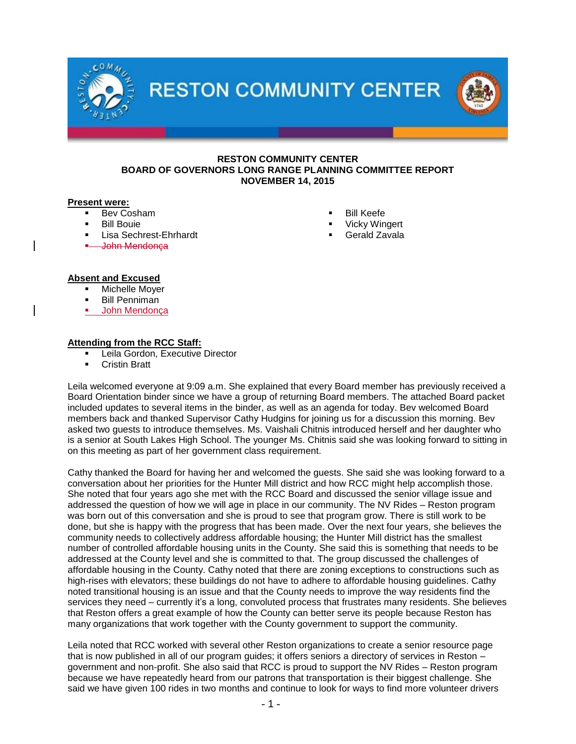

# **Present were:**

- Bev Cosham
- Bill Bouie
- Lisa Sechrest-Ehrhardt
- John Mendonça
- Bill Keefe
- Vicky Wingert
- Gerald Zavala

#### **Absent and Excused**

- Michelle Moyer
- Bill Penniman
- John Mendonça

#### **Attending from the RCC Staff:**

- Leila Gordon, Executive Director
- Cristin Bratt

Leila welcomed everyone at 9:09 a.m. She explained that every Board member has previously received a Board Orientation binder since we have a group of returning Board members. The attached Board packet included updates to several items in the binder, as well as an agenda for today. Bev welcomed Board members back and thanked Supervisor Cathy Hudgins for joining us for a discussion this morning. Bev asked two guests to introduce themselves. Ms. Vaishali Chitnis introduced herself and her daughter who is a senior at South Lakes High School. The younger Ms. Chitnis said she was looking forward to sitting in on this meeting as part of her government class requirement.

Cathy thanked the Board for having her and welcomed the guests. She said she was looking forward to a conversation about her priorities for the Hunter Mill district and how RCC might help accomplish those. She noted that four years ago she met with the RCC Board and discussed the senior village issue and addressed the question of how we will age in place in our community. The NV Rides – Reston program was born out of this conversation and she is proud to see that program grow. There is still work to be done, but she is happy with the progress that has been made. Over the next four years, she believes the community needs to collectively address affordable housing; the Hunter Mill district has the smallest number of controlled affordable housing units in the County. She said this is something that needs to be addressed at the County level and she is committed to that. The group discussed the challenges of affordable housing in the County. Cathy noted that there are zoning exceptions to constructions such as high-rises with elevators; these buildings do not have to adhere to affordable housing guidelines. Cathy noted transitional housing is an issue and that the County needs to improve the way residents find the services they need – currently it's a long, convoluted process that frustrates many residents. She believes that Reston offers a great example of how the County can better serve its people because Reston has many organizations that work together with the County government to support the community.

Leila noted that RCC worked with several other Reston organizations to create a senior resource page that is now published in all of our program guides; it offers seniors a directory of services in Reston – government and non-profit. She also said that RCC is proud to support the NV Rides – Reston program because we have repeatedly heard from our patrons that transportation is their biggest challenge. She said we have given 100 rides in two months and continue to look for ways to find more volunteer drivers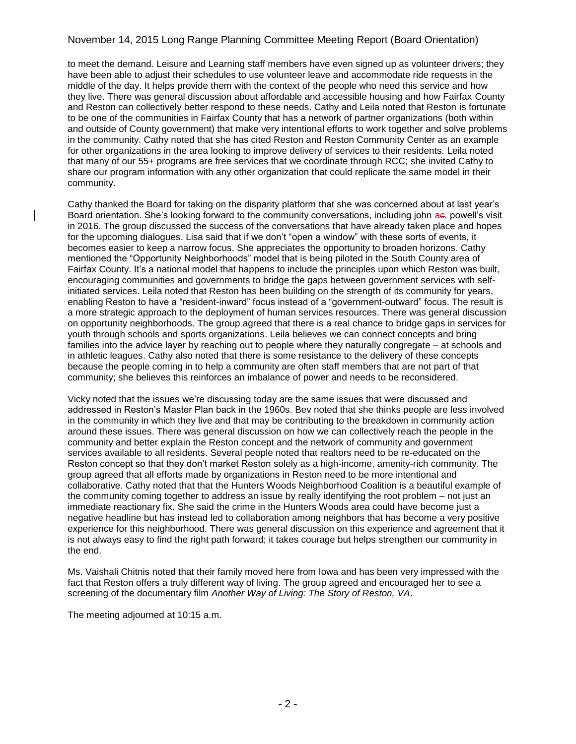# November 14, 2015 Long Range Planning Committee Meeting Report (Board Orientation)

to meet the demand. Leisure and Learning staff members have even signed up as volunteer drivers; they have been able to adjust their schedules to use volunteer leave and accommodate ride requests in the middle of the day. It helps provide them with the context of the people who need this service and how they live. There was general discussion about affordable and accessible housing and how Fairfax County and Reston can collectively better respond to these needs. Cathy and Leila noted that Reston is fortunate to be one of the communities in Fairfax County that has a network of partner organizations (both within and outside of County government) that make very intentional efforts to work together and solve problems in the community. Cathy noted that she has cited Reston and Reston Community Center as an example for other organizations in the area looking to improve delivery of services to their residents. Leila noted that many of our 55+ programs are free services that we coordinate through RCC; she invited Cathy to share our program information with any other organization that could replicate the same model in their community.

Cathy thanked the Board for taking on the disparity platform that she was concerned about at last year's Board orientation. She's looking forward to the community conversations, including john ae, powell's visit in 2016. The group discussed the success of the conversations that have already taken place and hopes for the upcoming dialogues. Lisa said that if we don't "open a window" with these sorts of events, it becomes easier to keep a narrow focus. She appreciates the opportunity to broaden horizons. Cathy mentioned the "Opportunity Neighborhoods" model that is being piloted in the South County area of Fairfax County. It's a national model that happens to include the principles upon which Reston was built, encouraging communities and governments to bridge the gaps between government services with selfinitiated services. Leila noted that Reston has been building on the strength of its community for years, enabling Reston to have a "resident-inward" focus instead of a "government-outward" focus. The result is a more strategic approach to the deployment of human services resources. There was general discussion on opportunity neighborhoods. The group agreed that there is a real chance to bridge gaps in services for youth through schools and sports organizations. Leila believes we can connect concepts and bring families into the advice layer by reaching out to people where they naturally congregate – at schools and in athletic leagues. Cathy also noted that there is some resistance to the delivery of these concepts because the people coming in to help a community are often staff members that are not part of that community; she believes this reinforces an imbalance of power and needs to be reconsidered.

Vicky noted that the issues we're discussing today are the same issues that were discussed and addressed in Reston's Master Plan back in the 1960s. Bev noted that she thinks people are less involved in the community in which they live and that may be contributing to the breakdown in community action around these issues. There was general discussion on how we can collectively reach the people in the community and better explain the Reston concept and the network of community and government services available to all residents. Several people noted that realtors need to be re-educated on the Reston concept so that they don't market Reston solely as a high-income, amenity-rich community. The group agreed that all efforts made by organizations in Reston need to be more intentional and collaborative. Cathy noted that that the Hunters Woods Neighborhood Coalition is a beautiful example of the community coming together to address an issue by really identifying the root problem – not just an immediate reactionary fix. She said the crime in the Hunters Woods area could have become just a negative headline but has instead led to collaboration among neighbors that has become a very positive experience for this neighborhood. There was general discussion on this experience and agreement that it is not always easy to find the right path forward; it takes courage but helps strengthen our community in the end.

Ms. Vaishali Chitnis noted that their family moved here from Iowa and has been very impressed with the fact that Reston offers a truly different way of living. The group agreed and encouraged her to see a screening of the documentary film *Another Way of Living: The Story of Reston, VA*.

The meeting adjourned at 10:15 a.m.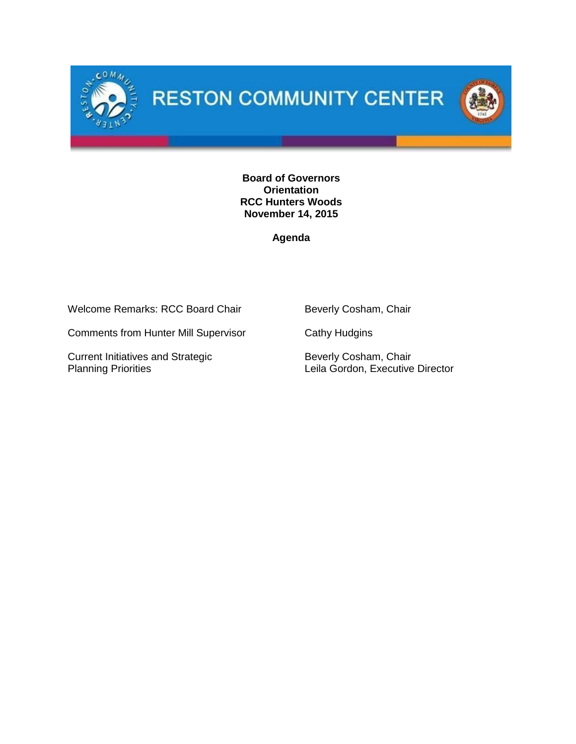



**Board of Governors Orientation RCC Hunters Woods November 14, 2015**

**Agenda**

Welcome Remarks: RCC Board Chair Beverly Cosham, Chair

Comments from Hunter Mill Supervisor Cathy Hudgins

Current Initiatives and Strategic<br>
Planning Priorities<br>
Leila Gordon, Executive

Leila Gordon, Executive Director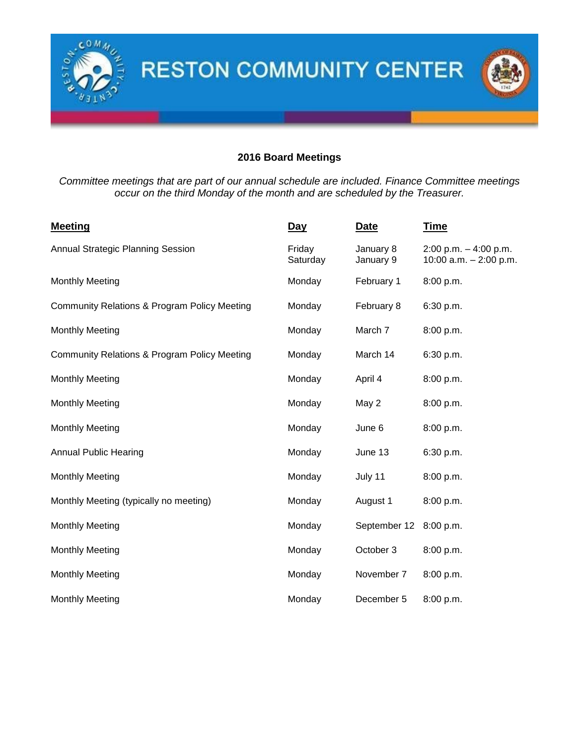

# **2016 Board Meetings**

*Committee meetings that are part of our annual schedule are included. Finance Committee meetings occur on the third Monday of the month and are scheduled by the Treasurer.*

| <b>Meeting</b>                                          | <u>Day</u>         | <b>Date</b>            | <u>Time</u>                                          |  |
|---------------------------------------------------------|--------------------|------------------------|------------------------------------------------------|--|
| Annual Strategic Planning Session                       | Friday<br>Saturday | January 8<br>January 9 | $2:00$ p.m. $-4:00$ p.m.<br>10:00 $a.m. - 2:00$ p.m. |  |
| <b>Monthly Meeting</b>                                  | Monday             | February 1             | 8:00 p.m.                                            |  |
| <b>Community Relations &amp; Program Policy Meeting</b> | Monday             | February 8             | 6:30 p.m.                                            |  |
| <b>Monthly Meeting</b>                                  | March 7<br>Monday  |                        | 8:00 p.m.                                            |  |
| <b>Community Relations &amp; Program Policy Meeting</b> | March 14<br>Monday |                        | 6:30 p.m.                                            |  |
| <b>Monthly Meeting</b>                                  | Monday             | April 4                | 8:00 p.m.                                            |  |
| <b>Monthly Meeting</b>                                  | Monday             | May 2                  | 8:00 p.m.                                            |  |
| <b>Monthly Meeting</b>                                  | Monday             | June 6                 | 8:00 p.m.                                            |  |
| <b>Annual Public Hearing</b>                            | Monday             | June 13                | 6:30 p.m.                                            |  |
| <b>Monthly Meeting</b>                                  | Monday             | July 11                | 8:00 p.m.                                            |  |
| Monthly Meeting (typically no meeting)                  | Monday             | August 1               | 8:00 p.m.                                            |  |
| <b>Monthly Meeting</b>                                  | Monday             | September 12           | 8:00 p.m.                                            |  |
| <b>Monthly Meeting</b>                                  | Monday             | October 3              | 8:00 p.m.                                            |  |
| <b>Monthly Meeting</b>                                  | Monday             | November 7             | 8:00 p.m.                                            |  |
| <b>Monthly Meeting</b>                                  | Monday             | December 5             | 8:00 p.m.                                            |  |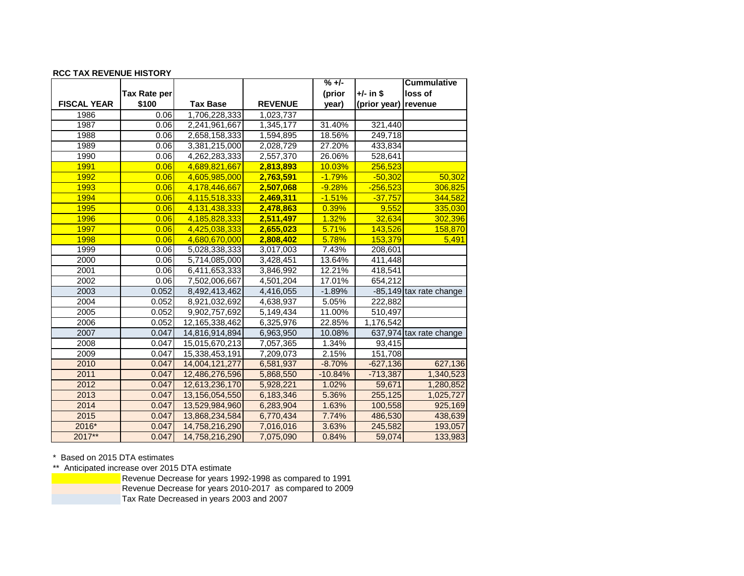#### **RCC TAX REVENUE HISTORY**

|                    |              |                 |                | $% +/-$   |                      | <b>Cummulative</b>      |
|--------------------|--------------|-----------------|----------------|-----------|----------------------|-------------------------|
|                    | Tax Rate per |                 |                | (prior    | +/- in \$            | loss of                 |
| <b>FISCAL YEAR</b> | \$100        | <b>Tax Base</b> | <b>REVENUE</b> | year)     | (prior year) revenue |                         |
| 1986               | 0.06         | 1,706,228,333   | 1,023,737      |           |                      |                         |
| 1987               | 0.06         | 2,241,961,667   | 1,345,177      | 31.40%    | 321,440              |                         |
| 1988               | 0.06         | 2,658,158,333   | 1,594,895      | 18.56%    | 249,718              |                         |
| 1989               | 0.06         | 3,381,215,000   | 2,028,729      | 27.20%    | 433,834              |                         |
| 1990               | 0.06         | 4,262,283,333   | 2,557,370      | 26.06%    | 528,641              |                         |
| 1991               | 0.06         | 4,689,821,667   | 2,813,893      | 10.03%    | 256,523              |                         |
| 1992               | 0.06         | 4,605,985,000   | 2,763,591      | $-1.79%$  | $-50,302$            | 50,302                  |
| 1993               | 0.06         | 4,178,446,667   | 2,507,068      | $-9.28%$  | $-256,523$           | 306,825                 |
| 1994               | 0.06         | 4,115,518,333   | 2,469,311      | $-1.51%$  | $-37,757$            | 344,582                 |
| 1995               | 0.06         | 4,131,438,333   | 2,478,863      | 0.39%     | 9,552                | 335,030                 |
| 1996               | 0.06         | 4,185,828,333   | 2,511,497      | 1.32%     | 32,634               | 302,396                 |
| 1997               | 0.06         | 4,425,038,333   | 2,655,023      | 5.71%     | 143,526              | 158,870                 |
| 1998               | 0.06         | 4,680,670,000   | 2,808,402      | 5.78%     | 153,379              | 5,491                   |
| 1999               | 0.06         | 5,028,338,333   | 3,017,003      | 7.43%     | 208,601              |                         |
| 2000               | 0.06         | 5,714,085,000   | 3,428,451      | 13.64%    | 411,448              |                         |
| 2001               | 0.06         | 6,411,653,333   | 3,846,992      | 12.21%    | 418,541              |                         |
| 2002               | 0.06         | 7,502,006,667   | 4,501,204      | 17.01%    | 654,212              |                         |
| 2003               | 0.052        | 8,492,413,462   | 4,416,055      | $-1.89%$  |                      | -85,149 tax rate change |
| 2004               | 0.052        | 8,921,032,692   | 4,638,937      | 5.05%     | 222,882              |                         |
| 2005               | 0.052        | 9,902,757,692   | 5,149,434      | 11.00%    | 510,497              |                         |
| 2006               | 0.052        | 12,165,338,462  | 6,325,976      | 22.85%    | 1,176,542            |                         |
| 2007               | 0.047        | 14,816,914,894  | 6,963,950      | 10.08%    |                      | 637,974 tax rate change |
| 2008               | 0.047        | 15,015,670,213  | 7,057,365      | 1.34%     | 93,415               |                         |
| 2009               | 0.047        | 15,338,453,191  | 7,209,073      | 2.15%     | 151,708              |                         |
| 2010               | 0.047        | 14,004,121,277  | 6,581,937      | $-8.70%$  | $-627,136$           | 627,136                 |
| 2011               | 0.047        | 12,486,276,596  | 5,868,550      | $-10.84%$ | $-713,387$           | 1,340,523               |
| 2012               | 0.047        | 12,613,236,170  | 5,928,221      | 1.02%     | 59,671               | 1,280,852               |
| 2013               | 0.047        | 13,156,054,550  | 6,183,346      | 5.36%     | 255,125              | 1,025,727               |
| 2014               | 0.047        | 13,529,984,960  | 6,283,904      | 1.63%     | 100,558              | 925,169                 |
| 2015               | 0.047        | 13,868,234,584  | 6,770,434      | 7.74%     | 486,530              | 438,639                 |
| 2016*              | 0.047        | 14,758,216,290  | 7,016,016      | 3.63%     | 245,582              | 193,057                 |
| 2017**             | 0.047        | 14,758,216,290  | 7,075,090      | 0.84%     | 59,074               | 133,983                 |

\* Based on 2015 DTA estimates

\*\* Anticipated increase over 2015 DTA estimate

Revenue Decrease for years 1992-1998 as compared to 1991

Revenue Decrease for years 2010-2017 as compared to 2009

Tax Rate Decreased in years 2003 and 2007